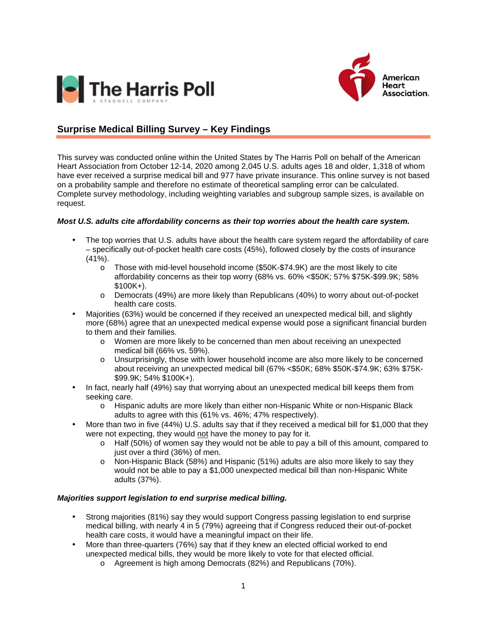



## **Surprise Medical Billing Survey – Key Findings**

This survey was conducted online within the United States by The Harris Poll on behalf of the American Heart Association from October 12-14, 2020 among 2,045 U.S. adults ages 18 and older, 1,318 of whom have ever received a surprise medical bill and 977 have private insurance. This online survey is not based on a probability sample and therefore no estimate of theoretical sampling error can be calculated. Complete survey methodology, including weighting variables and subgroup sample sizes, is available on request.

## **Most U.S. adults cite affordability concerns as their top worries about the health care system.**

- The top worries that U.S. adults have about the health care system regard the affordability of care – specifically out-of-pocket health care costs (45%), followed closely by the costs of insurance (41%).
	- $\circ$  Those with mid-level household income (\$50K-\$74.9K) are the most likely to cite affordability concerns as their top worry (68% vs. 60% <\$50K; 57% \$75K-\$99.9K; 58%  $$100K+$ ).
	- o Democrats (49%) are more likely than Republicans (40%) to worry about out-of-pocket health care costs.
- Majorities (63%) would be concerned if they received an unexpected medical bill, and slightly more (68%) agree that an unexpected medical expense would pose a significant financial burden to them and their families.
	- o Women are more likely to be concerned than men about receiving an unexpected medical bill (66% vs. 59%).
	- o Unsurprisingly, those with lower household income are also more likely to be concerned about receiving an unexpected medical bill (67% <\$50K; 68% \$50K-\$74.9K; 63% \$75K- \$99.9K; 54% \$100K+).
- In fact, nearly half (49%) say that worrying about an unexpected medical bill keeps them from seeking care.
	- o Hispanic adults are more likely than either non-Hispanic White or non-Hispanic Black adults to agree with this (61% vs. 46%; 47% respectively).
- More than two in five (44%) U.S. adults say that if they received a medical bill for \$1,000 that they were not expecting, they would not have the money to pay for it.
	- o Half (50%) of women say they would not be able to pay a bill of this amount, compared to just over a third (36%) of men.
	- o Non-Hispanic Black (58%) and Hispanic (51%) adults are also more likely to say they would not be able to pay a \$1,000 unexpected medical bill than non-Hispanic White adults (37%).

## **Majorities support legislation to end surprise medical billing.**

- Strong majorities (81%) say they would support Congress passing legislation to end surprise medical billing, with nearly 4 in 5 (79%) agreeing that if Congress reduced their out-of-pocket health care costs, it would have a meaningful impact on their life.
- More than three-quarters (76%) say that if they knew an elected official worked to end unexpected medical bills, they would be more likely to vote for that elected official.
	- o Agreement is high among Democrats (82%) and Republicans (70%).